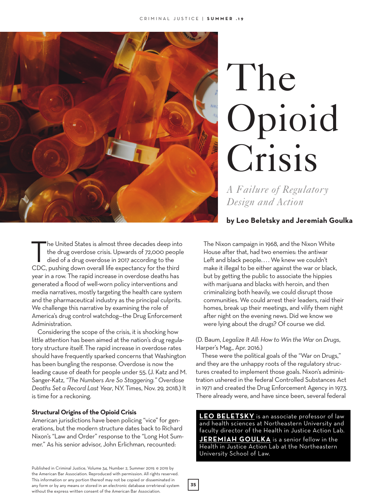

# The Opioid Crisis

*A Failure of Regulatory Design and Action*

# **by Leo Beletsky and Jeremiah Goulka**

The United States is almost three decades deep into<br>the drug overdose crisis. Upwards of 72,000 people<br>died of a drug overdose in 2017 according to the<br>CDC pushing down overall life overstooy for the third the drug overdose crisis. Upwards of 72,000 people CDC, pushing down overall life expectancy for the third year in a row. The rapid increase in overdose deaths has generated a flood of well-worn policy interventions and media narratives, mostly targeting the health care system and the pharmaceutical industry as the principal culprits. We challenge this narrative by examining the role of America's drug control watchdog—the Drug Enforcement Administration.

Considering the scope of the crisis, it is shocking how little attention has been aimed at the nation's drug regulatory structure itself. The rapid increase in overdose rates should have frequently sparked concerns that Washington has been bungling the response. Overdose is now the leading cause of death for people under 55. (J. Katz and M. Sanger-Katz, *"The Numbers Are So Staggering." Overdose Deaths Set a Record Last Year*, N.Y. Times, Nov. 29, 2018.) It is time for a reckoning.

#### **Structural Origins of the Opioid Crisis**

American jurisdictions have been policing "vice" for generations, but the modern structure dates back to Richard Nixon's "Law and Order" response to the "Long Hot Summer." As his senior advisor, John Erlichman, recounted:

Published in Criminal Justice, Volume 34, Number 2, Summer 2019. © 2019 by the American Bar Association. Reproduced with permission. All rights reserved. This information or any portion thereof may not be copied or disseminated in any form or by any means or stored in an electronic database orretrieval system without the express written consent of the American Bar Association.

The Nixon campaign in 1968, and the Nixon White House after that, had two enemies: the antiwar Left and black people.... We knew we couldn't make it illegal to be either against the war or black, but by getting the public to associate the hippies with marijuana and blacks with heroin, and then criminalizing both heavily, we could disrupt those communities. We could arrest their leaders, raid their homes, break up their meetings, and vilify them night after night on the evening news. Did we know we were lying about the drugs? Of course we did.

## (D. Baum, *Legalize It All: How to Win the War on Drugs*, Harper's Mag., Apr. 2016.)

These were the political goals of the "War on Drugs," and they are the unhappy roots of the regulatory structures created to implement those goals. Nixon's administration ushered in the federal Controlled Substances Act in 1971 and created the Drug Enforcement Agency in 1973. There already were, and have since been, several federal

**LEO BELETSKY** is an associate professor of law and health sciences at Northeastern University and faculty director of the Health in Justice Action Lab.

**JEREMIAH GOULKA** is a senior fellow in the Health in Justice Action Lab at the Northeastern University School of Law.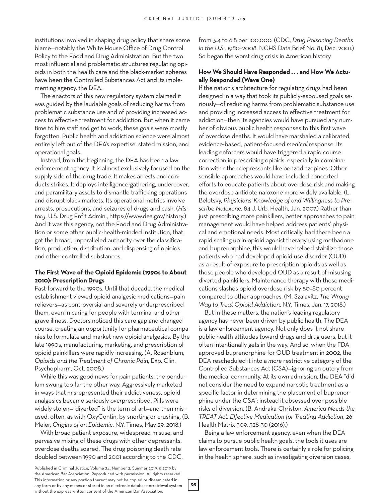institutions involved in shaping drug policy that share some blame—notably the White House Office of Drug Control Policy to the Food and Drug Administration. But the two most influential and problematic structures regulating opioids in both the health care and the black-market spheres have been the Controlled Substances Act and its implementing agency, the DEA.

The enactors of this new regulatory system claimed it was guided by the laudable goals of reducing harms from problematic substance use and of providing increased access to effective treatment for addiction. But when it came time to hire staff and get to work, these goals were mostly forgotten. Public health and addiction science were almost entirely left out of the DEA's expertise, stated mission, and operational goals.

Instead, from the beginning, the DEA has been a law enforcement agency. It is almost exclusively focused on the supply side of the drug trade. It makes arrests and conducts strikes. It deploys intelligence-gathering, undercover, and paramilitary assets to dismantle trafficking operations and disrupt black markets. Its operational metrics involve arrests, prosecutions, and seizures of drugs and cash. (*History*, U.S. Drug Enf't Admin., https://www.dea.gov/history.) And it was this agency, not the Food and Drug Administration or some other public-health-minded institution, that got the broad, unparalleled authority over the classification, production, distribution, and dispensing of opioids and other controlled substances.

## **The First Wave of the Opioid Epidemic (1990s to About 2010): Prescription Drugs**

Fast-forward to the 1990s. Until that decade, the medical establishment viewed opioid analgesic medications—pain relievers—as controversial and severely underprescribed them, even in caring for people with terminal and other grave illness. Doctors noticed this care gap and changed course, creating an opportunity for pharmaceutical companies to formulate and market new opioid analgesics. By the late 1990s, manufacturing, marketing, and prescription of opioid painkillers were rapidly increasing. (A. Rosenblum, *Opioids and the Treatment of Chronic Pain*, Exp. Clin. Psychopharm, Oct. 2008.)

While this was good news for pain patients, the pendulum swung too far the other way. Aggressively marketed in ways that misrepresented their addictiveness, opioid analgesics became seriously *over*prescribed. Pills were widely stolen—"diverted" is the term of art—and then misused, often, as with OxyContin, by snorting or crushing. (B. Meier, *Origins of an Epidemic*, N.Y. Times, May 29, 2018.)

With broad patient exposure, widespread misuse, and pervasive mixing of these drugs with other depressants, overdose deaths soared. The drug poisoning death rate doubled between 1990 and 2001 according to the CDC, from 3.4 to 6.8 per 100,000. (CDC, *Drug Poisoning Deaths in the U.S., 1980–*2008, NCHS Data Brief No. 81, Dec. 2001.) So began the worst drug crisis in American history.

#### **How We Should Have Responded . . . and How We Actually Responded (Wave One)**

If the nation's architecture for regulating drugs had been designed in a way that took its publicly-espoused goals seriously—of reducing harms from problematic substance use and providing increased access to effective treatment for addiction—then its agencies would have pursued any number of obvious public health responses to this first wave of overdose deaths. It would have marshaled a calibrated, evidence-based, patient-focused *medical* response. Its leading enforcers would have triggered a rapid course correction in prescribing opioids, especially in combination with other depressants like benzodiazepines. Other sensible approaches would have included concerted efforts to educate patients about overdose risk and making the overdose antidote naloxone more widely available. (L. Beletsky, *Physicians' Knowledge of and Willingness to Prescribe Naloxone*, 84 J. Urb. Health, Jan. 2007.) Rather than just prescribing more painkillers, better approaches to pain management would have helped address patients' physical and emotional needs. Most critically, had there been a rapid scaling up in opioid agonist therapy using methadone and buprenorphine, this would have helped stabilize those patients who had developed opioid use disorder (OUD) as a result of exposure to prescription opioids as well as those people who developed OUD as a result of misusing diverted painkillers. Maintenance therapy with these medications slashes opioid overdose risk by 50–80 percent compared to other approaches. (M. Szalavitz, *The Wrong Way to Treat Opioid Addiction*, N.Y. Times, Jan. 17, 2018.)

But in these matters, the nation's leading regulatory agency has never been driven by public health. The DEA is a law enforcement agency. Not only does it not share public health attitudes toward drugs and drug users, but it often intentionally gets in the way. And so, when the FDA approved buprenorphine for OUD treatment in 2002, the DEA rescheduled it into a *more* restrictive category of the Controlled Substances Act (CSA)—ignoring an outcry from the medical community. At its own admission, the DEA "did not consider the need to expand narcotic treatment as a specific factor in determining the placement of buprenorphine under the CSA"; instead it obsessed over possible risks of diversion. (B. Andraka-Christon, *America Needs the TREAT Act: Effective Medication for Treating Addiction*, 26 Health Matrix 309, 328-30 (2016).)

Being a law enforcement agency, even when the DEA claims to pursue public health goals, the tools it uses are law enforcement tools. There is certainly a role for policing in the health sphere, such as investigating diversion cases,

Published in Criminal Justice, Volume 34, Number 2, Summer 2019. © 2019 by the American Bar Association. Reproduced with permission. All rights reserved. This information or any portion thereof may not be copied or disseminated in any form or by any means or stored in an electronic database orretrieval system without the express written consent of the American Bar Association.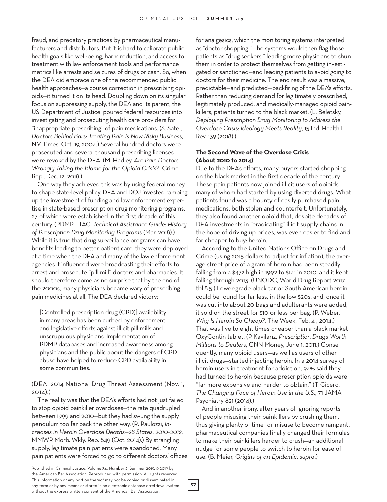fraud, and predatory practices by pharmaceutical manufacturers and distributors. But it is hard to calibrate public health goals like well-being, harm reduction, and access to treatment with law enforcement tools and performance metrics like arrests and seizures of drugs or cash. So, when the DEA did embrace one of the recommended public health approaches—a course correction in prescribing opioids—it turned it on its head. Doubling down on its singular focus on suppressing supply, the DEA and its parent, the US Department of Justice, poured federal resources into investigating and prosecuting health care providers for "inappropriate prescribing" of pain medications. (S. Satel, *Doctors Behind Bars: Treating Pain Is Now Risky Business*, N.Y. Times, Oct. 19, 2004.) Several hundred doctors were prosecuted and several thousand prescribing licenses were revoked by the DEA. (M. Hadley, *Are Pain Doctors Wrongly Taking the Blame for the Opioid Crisis*?, Crime Rep., Dec. 12, 2018.)

One way they achieved this was by using federal money to shape state-level policy. DEA and DOJ invested ramping up the investment of funding and law enforcement expertise in state-based prescription drug monitoring programs, 27 of which were established in the first decade of this century. (PDMP TTAC, *Technical Assistance Guide: History of Prescription Drug Monitoring Programs* (Mar. 2018).) While it is true that drug surveillance programs can have benefits leading to better patient care, they were deployed at a time when the DEA and many of the law enforcement agencies it influenced were broadcasting their efforts to arrest and prosecute "pill mill" doctors and pharmacies. It should therefore come as no surprise that by the end of the 2000s, many physicians became wary of prescribing pain medicines at all. The DEA declared victory:

[Controlled prescription drug (CPD)] availability in many areas has been curbed by enforcement and legislative efforts against illicit pill mills and unscrupulous physicians. Implementation of PDMP databases and increased awareness among physicians and the public about the dangers of CPD abuse have helped to reduce CPD availability in some communities.

## (DEA, 2014 National Drug Threat Assessment (Nov. 1, 2014).)

The reality was that the DEA's efforts had not just failed to stop opioid painkiller overdoses—the rate quadrupled between 1999 and 2010—but they had swung the supply pendulum too far back the other way. (R. Paulozzi, *Increases in Heroin Overdose Deaths—28 States, 2010–2012*, MMWR Morb. Wkly. Rep. 849 (Oct. 2014).) By strangling supply, legitimate pain patients were abandoned. Many pain patients were forced to go to different doctors' offices for analgesics, which the monitoring systems interpreted as "doctor shopping." The systems would then flag those patients as "drug seekers," leading more physicians to shun them in order to protect themselves from getting investigated or sanctioned—and leading patients to avoid going to doctors for their medicine. The end result was a massive, predictable—and predicted—backfiring of the DEA's efforts. Rather than reducing demand for legitimately prescribed, legitimately produced, and medically-managed opioid painkillers, patients turned to the black market. (L. Beletsky, *Deploying Prescription Drug Monitoring to Address the Overdose Crisis: Ideology Meets Reality*, 15 Ind. Health L. Rev. 139 (2018).)

## **The Second Wave of the Overdose Crisis (About 2010 to 2014)**

Due to the DEA's efforts, many buyers started shopping on the black market in the first decade of the century. These pain patients now joined illicit users of opioids many of whom had started by using diverted drugs. What patients found was a bounty of easily purchased pain medications, both stolen and counterfeit. Unfortunately, they also found another opioid that, despite decades of DEA investments in "eradicating" illicit supply chains in the hope of driving up prices, was even easier to find and far cheaper to buy: heroin.

According to the United Nations Office on Drugs and Crime (using 2015 dollars to adjust for inflation), the average street price of a gram of heroin had been steadily falling from a \$472 high in 1992 to \$141 in 2010, and it kept falling through 2013. (UNODC, World Drug Report 2017, tbl.8.5.) Lower-grade black tar or South American heroin could be found for far less, in the low \$20s, and, once it was cut into about 20 bags and adulterants were added, it sold on the street for \$10 or less per bag. (P. Weber, *Why Is Heroin So Cheap?*, The Week, Feb. 4 , 2014.) That was five to eight times cheaper than a black-market OxyContin tablet. (P Kavilanz, *Prescription Drugs Worth Millions to Dealers*, CNN Money, June 1, 2011.) Consequently, many opioid users—as well as users of other illicit drugs—started injecting heroin. In a 2014 survey of heroin users in treatment for addiction, 94% said they had turned to heroin because prescription opioids were "far more expensive and harder to obtain." (T. Cicero, *The Changing Face of Heroin Use in the U.S.*, 71 JAMA Psychiatry 821 (2014).)

And in another irony, after years of ignoring reports of people misusing their painkillers by crushing them, thus giving plenty of time for misuse to become rampant, pharmaceutical companies finally changed their formulas to make their painkillers harder to crush—an additional nudge for some people to switch to heroin for ease of use. (B. Meier, *Origins of an Epidemic*, *supra*.)

Published in Criminal Justice, Volume 34, Number 2, Summer 2019. © 2019 by the American Bar Association. Reproduced with permission. All rights reserved. This information or any portion thereof may not be copied or disseminated in any form or by any means or stored in an electronic database orretrieval system without the express written consent of the American Bar Association.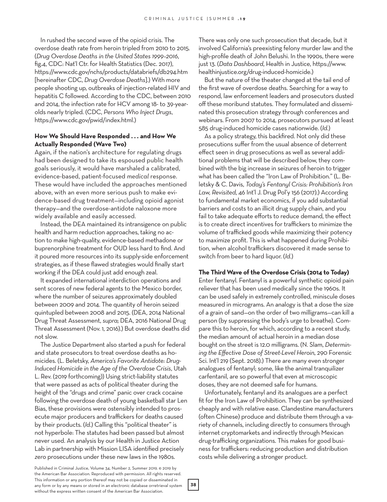In rushed the second wave of the opioid crisis. The overdose death rate from heroin tripled from 2010 to 2015. (*Drug Overdose Deaths in the United States 1999–2016*, fig.4, CDC: Nat'l Ctr. for Health Statistics (Dec. 2017), https://www.cdc.gov/nchs/products/databriefs/db294.htm [hereinafter CDC, *Drug Overdose Deaths*].) With more people shooting up, outbreaks of injection-related HIV and hepatitis C followed. According to the CDC, between 2010 and 2014, the infection rate for HCV among 18- to 39-yearolds nearly tripled. (CDC, *Persons Who Inject Drugs*, https://www.cdc.gov/pwid/index.html.)

## **How We Should Have Responded . . . and How We Actually Responded (Wave Two)**

Again, if the nation's architecture for regulating drugs had been designed to take its espoused public health goals seriously, it would have marshaled a calibrated, evidence-based, patient-focused *medical* response. These would have included the approaches mentioned above, with an even more serious push to make evidence-based drug treatment—including opioid agonist therapy—and the overdose-antidote naloxone more widely available and easily accessed.

Instead, the DEA maintained its intransigence on public health and harm reduction approaches, taking no action to make high-quality, evidence-based methadone or buprenorphine treatment for OUD less hard to find. And it poured more resources into its supply-side enforcement strategies, as if these flawed strategies would finally start working if the DEA could just add enough zeal.

It expanded international interdiction operations and sent scores of new federal agents to the Mexico border, where the number of seizures approximately doubled between 2009 and 2014. The quantity of heroin seized quintupled between 2008 and 2015. (DEA, 2014 National Drug Threat Assessment, *supra*; DEA, 2016 National Drug Threat Assessment (Nov. 1, 2016).) But overdose deaths did not slow.

The Justice Department also started a push for federal and state prosecutors to treat overdose deaths as homicides. (L. Beletsky, *America's Favorite Antidote: Drug-Induced Homicide in the Age of the Overdose Crisis*, Utah L. Rev. (2019 forthcoming)) Using strict-liability statutes that were passed as acts of political theater during the height of the "drugs and crime" panic over crack cocaine following the overdose death of young basketball star Len Bias, these provisions were ostensibly intended to prosecute major producers and traffickers for deaths caused by their products. (*Id*.) Calling this "political theater" is not hyperbole: The statutes had been passed but almost never used. An analysis by our Health in Justice Action Lab in partnership with Mission LISA identified precisely *zero* prosecutions under these new laws in the 1980s.

There was only one such prosecution that decade, but it involved California's preexisting felony murder law and the high-profile death of John Belushi. In the 1990s, there were just 13. (*Data Dashboard*, Health in Justice, https://www. healthinjustice.org/drug-induced-homicide.)

But the nature of the theater changed at the tail end of the first wave of overdose deaths. Searching for a way to respond, law enforcement leaders and prosecutors dusted off these moribund statutes. They formulated and disseminated this prosecution strategy through conferences and webinars. From 2007 to 2014, prosecutors pursued at least 585 drug-induced homicide cases nationwide. (*Id.*)

As a policy strategy, this backfired. Not only did these prosecutions suffer from the usual absence of deterrent effect seen in drug prosecutions as well as several additional problems that will be described below, they combined with the big increase in seizures of heroin to trigger what has been called the "Iron Law of Prohibition." (L. Beletsky & C. Davis, *Today's Fentanyl Crisis: Prohibition's Iron Law, Revisited*, 46 Int'l J. Drug Pol'y 156 (2017).) According to fundamental market economics, if you add substantial barriers and costs to an illicit drug supply chain, and you fail to take adequate efforts to reduce demand, the effect is to create direct incentives for traffickers to minimize the volume of trafficked goods while maximizing their potency to maximize profit. This is what happened during Prohibition, when alcohol traffickers discovered it made sense to switch from beer to hard liquor. (*Id.*)

#### **The Third Wave of the Overdose Crisis (2014 to Today)**

Enter fentanyl. Fentanyl is a powerful synthetic opioid pain reliever that has been used medically since the 1960s. It can be used safely in extremely controlled, miniscule doses measured in micrograms. An analogy is that a dose the size of a grain of sand—on the order of two milligrams—can kill a person (by suppressing the body's urge to breathe). Compare this to heroin, for which, according to a recent study, the median amount of actual heroin in a median dose bought on the street is 12.0 milligrams. (N. Slam, *Determining the Effective Dose of Street-Level Heroin*, 290 Forensic Sci. Int'l 219 (Sept. 2018).) There are many even stronger analogues of fentanyl; some, like the animal tranquilizer carfentanil, are so powerful that even at microscopic doses, they are not deemed safe for humans.

Unfortunately, fentanyl and its analogues are a perfect fit for the Iron Law of Prohibition. They can be synthesized cheaply and with relative ease. Clandestine manufacturers (often Chinese) produce and distribute them through a variety of channels, including directly to consumers through internet cryptomarkets and indirectly through Mexican drug-trafficking organizations. This makes for good business for traffickers: reducing production and distribution costs while delivering a stronger product.

Published in Criminal Justice, Volume 34, Number 2, Summer 2019. © 2019 by the American Bar Association. Reproduced with permission. All rights reserved. This information or any portion thereof may not be copied or disseminated in any form or by any means or stored in an electronic database orretrieval system without the express written consent of the American Bar Association.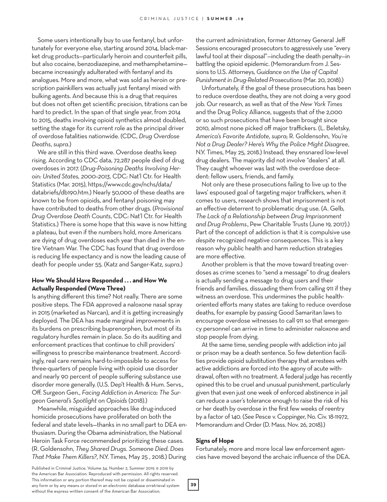Some users intentionally buy to use fentanyl, but unfortunately for everyone else, starting around 2014, black-market drug products—particularly heroin and counterfeit pills, but also cocaine, benzodiazepine, and methamphetamine became increasingly adulterated with fentanyl and its analogues. More and more, what was sold as heroin or prescription painkillers was actually just fentanyl mixed with bulking agents. And because this is a drug that requires but does not often get scientific precision, titrations can be hard to predict. In the span of that single year, from 2014 to 2015, deaths involving opioid synthetics almost doubled, setting the stage for its current role as the principal driver of overdose fatalities nationwide. (CDC, *Drug Overdose Deaths*, *supra*.)

We are still in this third wave. Overdose deaths keep rising. According to CDC data, 72,287 people died of drug overdoses in 2017. (*Drug-Poisoning Deaths Involving Heroin: United States, 2000–2013*, CDC: Nat'l Ctr. for Health Statistics (Mar. 2015), https://www.cdc.gov/nchs/data/ databriefs/db190.htm.) Nearly 50,000 of these deaths are known to be from opioids, and fentanyl poisoning may have contributed to deaths from other drugs. (*Provisional Drug Overdose Death Counts*, CDC: Nat'l Ctr. for Health Statistics.) There is some hope that this wave is now hitting a plateau, but even if the numbers hold, more Americans are dying of drug overdoses each year than died in the entire Vietnam War. The CDC has found that drug overdose is reducing life expectancy and is now the leading cause of death for people under 55. (Katz and Sanger-Katz, *supra*.)

#### **How We Should Have Responded . . . and How We Actually Responded (Wave Three)**

Is anything different this time? Not really. There are some positive steps. The FDA approved a naloxone nasal spray in 2015 (marketed as Narcan), and it is getting increasingly deployed. The DEA has made marginal improvements in its burdens on prescribing buprenorphen, but most of its regulatory hurdles remain in place. So do its auditing and enforcement practices that continue to chill providers' willingness to prescribe maintenance treatment. Accordingly, real care remains hard-to-impossible to access for three-quarters of people living with opioid use disorder and nearly 90 percent of people suffering substance use disorder more generally. (U.S. Dep't Health & Hum. Servs., Off. Surgeon Gen., *Facing Addiction in America: The Surgeon General's Spotlight on Opioids* (2018).)

Meanwhile, misguided approaches like drug-induced homicide prosecutions have proliferated on both the federal and state levels—thanks in no small part to DEA enthusiasm. During the Obama administration, the National Heroin Task Force recommended prioritizing these cases. (R. Goldensohn, *They Shared Drugs. Someone Died. Does That Make Them Killers?*, N.Y. Times, May 25 , 2018.) During

the current administration, former Attorney General Jeff Sessions encouraged prosecutors to aggressively use "every lawful tool at their disposal"—including the death penalty—in battling the opioid epidemic. (Memorandum from J. Sessions to U.S. Attorneys, *Guidance on the Use of Capital Punishment in Drug-Related Prosecutions* (Mar. 20, 2018).)

Unfortunately, if the goal of these prosecutions has been to reduce overdose deaths, they are not doing a very good job. Our research, as well as that of the *New York Times* and the Drug Policy Alliance, suggests that of the 2,000 or so such prosecutions that have been brought since 2010, almost none picked off major traffickers. (L. Beletsky, *America's Favorite Antidote*, *supra*; R. Goldensohn, *You're Not a Drug Dealer? Here's Why the Police Might Disagree*, N.Y. Times, May 25, 2018.) Instead, they ensnared low-level drug dealers. The majority did not involve "dealers" at all. They caught whoever was last with the overdose decedent: fellow users, friends, and family.

Not only are these prosecutions failing to live up to the laws' espoused goal of targeting major traffickers, when it comes to users, research shows that imprisonment is not an effective deterrent to problematic drug use. (A. Gelb, *The Lack of a Relationship between Drug Imprisonment and Drug Problems*, Pew Charitable Trusts (June 19, 2017).) Part of the concept of addiction is that it is compulsive use *despite* recognized negative consequences. This is a key reason why public health and harm reduction strategies are more effective.

Another problem is that the move toward treating overdoses as crime scenes to "send a message" to drug dealers is actually sending a message to drug *users* and their friends and families, dissuading them from calling 911 if they witness an overdose. This undermines the public healthoriented efforts many states are taking to reduce overdose deaths, for example by passing Good Samaritan laws to *encourage* overdose witnesses to call 911 so that emergency personnel can arrive in time to administer naloxone and stop people from dying.

At the same time, sending people with addiction into jail or prison may be a death sentence. So few detention facilities provide opioid substitution therapy that arrestees with active addictions are forced into the agony of acute withdrawal, often with no treatment. A federal judge has recently opined this to be cruel and unusual punishment, particularly given that even just one week of enforced abstinence in jail can reduce a user's tolerance enough to raise the risk of his or her death by overdose in the first few weeks of reentry by a factor of 140. (*See* Pesce v. Coppinger, No. Civ. 18-11972, Memorandum and Order (D. Mass. Nov. 26, 2018).)

#### **Signs of Hope**

Fortunately, more and more local law enforcement agencies have moved beyond the archaic influence of the DEA.

Published in Criminal Justice, Volume 34, Number 2, Summer 2019. © 2019 by the American Bar Association. Reproduced with permission. All rights reserved. This information or any portion thereof may not be copied or disseminated in any form or by any means or stored in an electronic database orretrieval system without the express written consent of the American Bar Association.